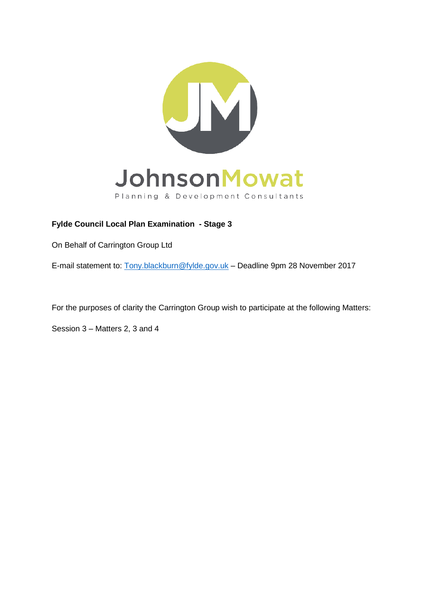

# **Fylde Council Local Plan Examination - Stage 3**

On Behalf of Carrington Group Ltd

E-mail statement to: [Tony.blackburn@fylde.gov.uk](mailto:Tony.blackburn@fylde.gov.uk) – Deadline 9pm 28 November 2017

For the purposes of clarity the Carrington Group wish to participate at the following Matters:

Session 3 – Matters 2, 3 and 4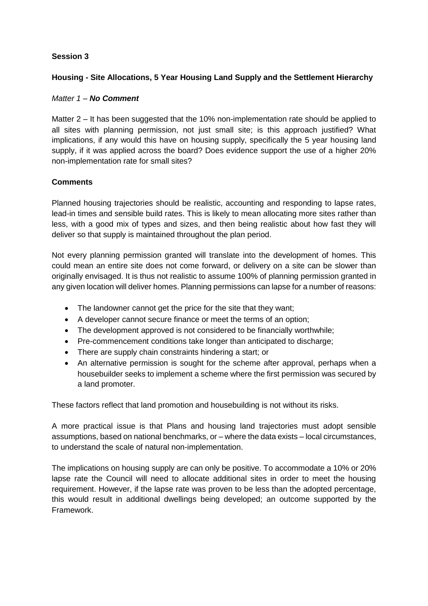### **Session 3**

### **Housing - Site Allocations, 5 Year Housing Land Supply and the Settlement Hierarchy**

### *Matter 1 – No Comment*

Matter 2 – It has been suggested that the 10% non-implementation rate should be applied to all sites with planning permission, not just small site; is this approach justified? What implications, if any would this have on housing supply, specifically the 5 year housing land supply, if it was applied across the board? Does evidence support the use of a higher 20% non-implementation rate for small sites?

### **Comments**

Planned housing trajectories should be realistic, accounting and responding to lapse rates, lead-in times and sensible build rates. This is likely to mean allocating more sites rather than less, with a good mix of types and sizes, and then being realistic about how fast they will deliver so that supply is maintained throughout the plan period.

Not every planning permission granted will translate into the development of homes. This could mean an entire site does not come forward, or delivery on a site can be slower than originally envisaged. It is thus not realistic to assume 100% of planning permission granted in any given location will deliver homes. Planning permissions can lapse for a number of reasons:

- The landowner cannot get the price for the site that they want;
- A developer cannot secure finance or meet the terms of an option;
- The development approved is not considered to be financially worthwhile;
- Pre-commencement conditions take longer than anticipated to discharge;
- There are supply chain constraints hindering a start; or
- An alternative permission is sought for the scheme after approval, perhaps when a housebuilder seeks to implement a scheme where the first permission was secured by a land promoter.

These factors reflect that land promotion and housebuilding is not without its risks.

A more practical issue is that Plans and housing land trajectories must adopt sensible assumptions, based on national benchmarks, or – where the data exists – local circumstances, to understand the scale of natural non-implementation.

The implications on housing supply are can only be positive. To accommodate a 10% or 20% lapse rate the Council will need to allocate additional sites in order to meet the housing requirement. However, if the lapse rate was proven to be less than the adopted percentage, this would result in additional dwellings being developed; an outcome supported by the Framework.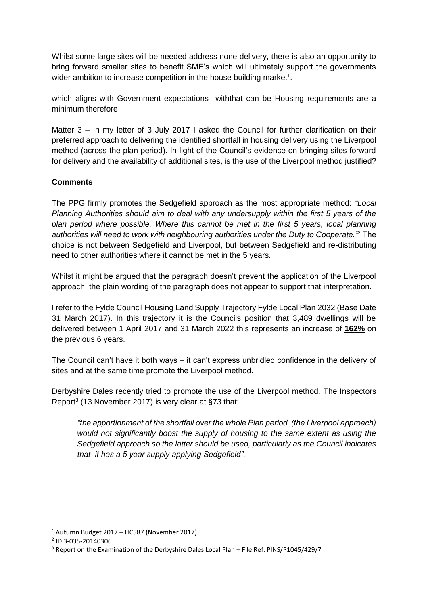Whilst some large sites will be needed address none delivery, there is also an opportunity to bring forward smaller sites to benefit SME's which will ultimately support the governments wider ambition to increase competition in the house building market $1$ .

which aligns with Government expectations withthat can be Housing requirements are a minimum therefore

Matter 3 – In my letter of 3 July 2017 I asked the Council for further clarification on their preferred approach to delivering the identified shortfall in housing delivery using the Liverpool method (across the plan period). In light of the Council's evidence on bringing sites forward for delivery and the availability of additional sites, is the use of the Liverpool method justified?

# **Comments**

The PPG firmly promotes the Sedgefield approach as the most appropriate method: *"Local Planning Authorities should aim to deal with any undersupply within the first 5 years of the plan period where possible. Where this cannot be met in the first 5 years, local planning authorities will need to work with neighbouring authorities under the Duty to Cooperate."* <sup>2</sup> The choice is not between Sedgefield and Liverpool, but between Sedgefield and re-distributing need to other authorities where it cannot be met in the 5 years.

Whilst it might be argued that the paragraph doesn't prevent the application of the Liverpool approach; the plain wording of the paragraph does not appear to support that interpretation.

I refer to the Fylde Council Housing Land Supply Trajectory Fylde Local Plan 2032 (Base Date 31 March 2017). In this trajectory it is the Councils position that 3,489 dwellings will be delivered between 1 April 2017 and 31 March 2022 this represents an increase of **162%** on the previous 6 years.

The Council can't have it both ways – it can't express unbridled confidence in the delivery of sites and at the same time promote the Liverpool method.

Derbyshire Dales recently tried to promote the use of the Liverpool method. The Inspectors Report<sup>3</sup> (13 November 2017) is very clear at §73 that:

*"the apportionment of the shortfall over the whole Plan period (the Liverpool approach) would not significantly boost the supply of housing to the same extent as using the Sedgefield approach so the latter should be used, particularly as the Council indicates that it has a 5 year supply applying Sedgefield".*

**.** 

 $1$  Autumn Budget 2017 – HC587 (November 2017)

<sup>2</sup> ID 3-035-20140306

<sup>3</sup> Report on the Examination of the Derbyshire Dales Local Plan – File Ref: PINS/P1045/429/7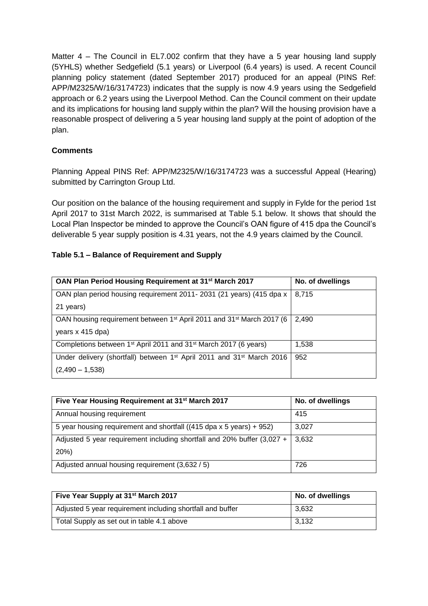Matter 4 – The Council in EL7.002 confirm that they have a 5 year housing land supply (5YHLS) whether Sedgefield (5.1 years) or Liverpool (6.4 years) is used. A recent Council planning policy statement (dated September 2017) produced for an appeal (PINS Ref: APP/M2325/W/16/3174723) indicates that the supply is now 4.9 years using the Sedgefield approach or 6.2 years using the Liverpool Method. Can the Council comment on their update and its implications for housing land supply within the plan? Will the housing provision have a reasonable prospect of delivering a 5 year housing land supply at the point of adoption of the plan.

## **Comments**

Planning Appeal PINS Ref: APP/M2325/W/16/3174723 was a successful Appeal (Hearing) submitted by Carrington Group Ltd.

Our position on the balance of the housing requirement and supply in Fylde for the period 1st April 2017 to 31st March 2022, is summarised at Table 5.1 below. It shows that should the Local Plan Inspector be minded to approve the Council's OAN figure of 415 dpa the Council's deliverable 5 year supply position is 4.31 years, not the 4.9 years claimed by the Council.

### **Table 5.1 – Balance of Requirement and Supply**

| OAN Plan Period Housing Requirement at 31 <sup>st</sup> March 2017                            | No. of dwellings |
|-----------------------------------------------------------------------------------------------|------------------|
| OAN plan period housing requirement 2011- 2031 (21 years) (415 dpa x                          | 8,715            |
| 21 years)                                                                                     |                  |
| OAN housing requirement between 1 <sup>st</sup> April 2011 and 31 <sup>st</sup> March 2017 (6 | 2,490            |
| years x 415 dpa)                                                                              |                  |
| Completions between 1 <sup>st</sup> April 2011 and 31 <sup>st</sup> March 2017 (6 years)      | 1,538            |
| Under delivery (shortfall) between $1st$ April 2011 and 31 <sup>st</sup> March 2016           | 952              |
| $(2,490 - 1,538)$                                                                             |                  |

| Five Year Housing Requirement at 31 <sup>st</sup> March 2017            | No. of dwellings |
|-------------------------------------------------------------------------|------------------|
| Annual housing requirement                                              | 415              |
| 5 year housing requirement and shortfall ((415 dpa x 5 years) + 952)    | 3,027            |
| Adjusted 5 year requirement including shortfall and 20% buffer (3,027 + | 3,632            |
| 20%                                                                     |                  |
| Adjusted annual housing requirement (3,632 / 5)                         | 726              |

| Five Year Supply at 31 <sup>st</sup> March 2017            | No. of dwellings |
|------------------------------------------------------------|------------------|
| Adjusted 5 year requirement including shortfall and buffer | 3,632            |
| Total Supply as set out in table 4.1 above                 | 3,132            |